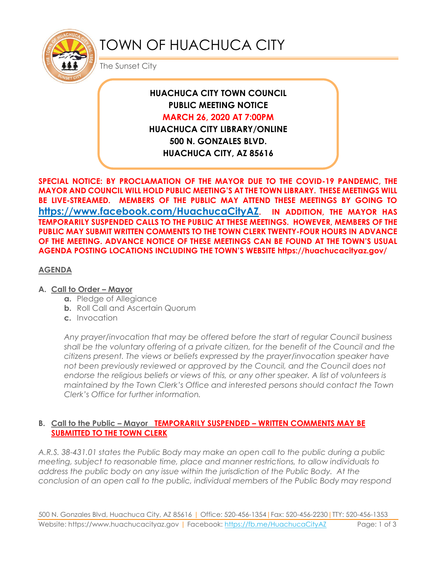

# TOWN OF HUACHUCA CITY

The Sunset City

## **HUACHUCA CITY TOWN COUNCIL PUBLIC MEETING NOTICE MARCH 26, 2020 AT 7:00PM HUACHUCA CITY LIBRARY/ONLINE 500 N. GONZALES BLVD. HUACHUCA CITY, AZ 85616**

**SPECIAL NOTICE: BY PROCLAMATION OF THE MAYOR DUE TO THE COVID-19 PANDEMIC, THE MAYOR AND COUNCIL WILL HOLD PUBLIC MEETING'S AT THE TOWN LIBRARY. THESE MEETINGS WILL BE LIVE-STREAMED. MEMBERS OF THE PUBLIC MAY ATTEND THESE MEETINGS BY GOING TO <https://www.facebook.com/HuachucaCityAZ>. IN ADDITION, THE MAYOR HAS TEMPORARILY SUSPENDED CALLS TO THE PUBLIC AT THESE MEETINGS. HOWEVER, MEMBERS OF THE PUBLIC MAY SUBMIT WRITTEN COMMENTS TO THE TOWN CLERK TWENTY-FOUR HOURS IN ADVANCE OF THE MEETING. ADVANCE NOTICE OF THESE MEETINGS CAN BE FOUND AT THE TOWN'S USUAL AGENDA POSTING LOCATIONS INCLUDING THE TOWN'S WEBSITE https://huachucacityaz.gov/**

#### **AGENDA**

#### **A.** Call to Order – Mayor

- **a.** Pledge of Allegiance
- **b.** Roll Call and Ascertain Quorum
- **c.** Invocation

*Any prayer/invocation that may be offered before the start of regular Council business shall be the voluntary offering of a private citizen, for the benefit of the Council and the citizens present. The views or beliefs expressed by the prayer/invocation speaker have not been previously reviewed or approved by the Council, and the Council does not endorse the religious beliefs or views of this, or any other speaker. A list of volunteers is maintained by the Town Clerk's Office and interested persons should contact the Town Clerk's Office for further information.*

#### **B. Call to the Public – Mayor TEMPORARILY SUSPENDED – WRITTEN COMMENTS MAY BE SUBMITTED TO THE TOWN CLERK**

*A.R.S. 38-431.01 states the Public Body may make an open call to the public during a public meeting, subject to reasonable time, place and manner restrictions, to allow individuals to address the public body on any issue within the jurisdiction of the Public Body. At the conclusion of an open call to the public, individual members of the Public Body may respond*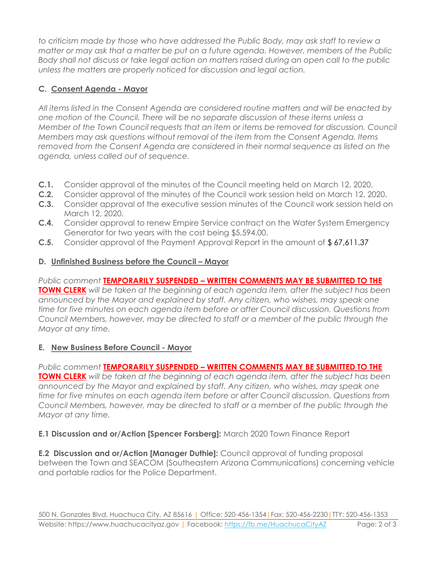*to criticism made by those who have addressed the Public Body, may ask staff to review a matter or may ask that a matter be put on a future agenda. However, members of the Public Body shall not discuss or take legal action on matters raised during an open call to the public unless the matters are properly noticed for discussion and legal action.*

### **C. Consent Agenda - Mayor**

*All items listed in the Consent Agenda are considered routine matters and will be enacted by one motion of the Council. There will be no separate discussion of these items unless a Member of the Town Council requests that an item or items be removed for discussion. Council Members may ask questions without removal of the item from the Consent Agenda. Items removed from the Consent Agenda are considered in their normal sequence as listed on the agenda, unless called out of sequence.*

- **C.1.** Consider approval of the minutes of the Council meeting held on March 12, 2020.
- **C.2.** Consider approval of the minutes of the Council work session held on March 12, 2020.
- **C.3.** Consider approval of the executive session minutes of the Council work session held on March 12, 2020.
- **C.4.** Consider approval to renew Empire Service contract on the Water System Emergency Generator for two years with the cost being \$5,594.00.
- **C.5.** Consider approval of the Payment Approval Report in the amount of \$ 67,611.37

## **D. Unfinished Business before the Council – Mayor**

*Public comment* **TEMPORARILY SUSPENDED – WRITTEN COMMENTS MAY BE SUBMITTED TO THE TOWN CLERK** *will be taken at the beginning of each agenda item, after the subject has been announced by the Mayor and explained by staff. Any citizen, who wishes, may speak one time for five minutes on each agenda item before or after Council discussion. Questions from Council Members, however, may be directed to staff or a member of the public through the Mayor at any time.*

## **E. New Business Before Council - Mayor**

*Public comment* **TEMPORARILY SUSPENDED – WRITTEN COMMENTS MAY BE SUBMITTED TO THE TOWN CLERK** *will be taken at the beginning of each agenda item, after the subject has been announced by the Mayor and explained by staff. Any citizen, who wishes, may speak one time for five minutes on each agenda item before or after Council discussion. Questions from Council Members, however, may be directed to staff or a member of the public through the Mayor at any time.* 

**E.1 Discussion and or/Action [Spencer Forsberg]:** March 2020 Town Finance Report

**E.2 Discussion and or/Action [Manager Duthie]:** Council approval of funding proposal between the Town and SEACOM (Southeastern Arizona Communications) concerning vehicle and portable radios for the Police Department.